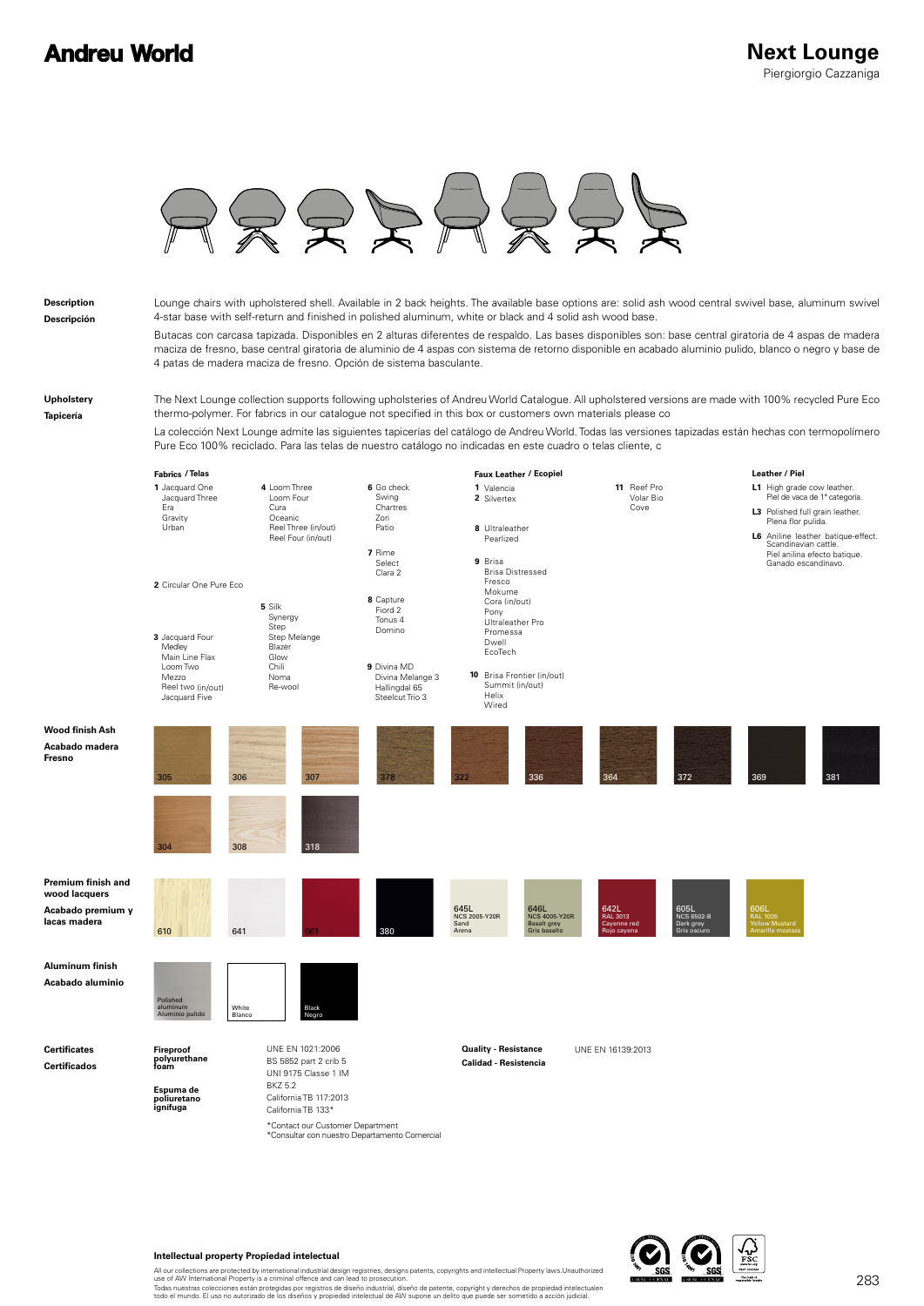## **Andreu World**



**Description**

**Descripción**

Lounge chairs with upholstered shell. Available in 2 back heights. The available base options are: solid ash wood central swivel base, aluminum swivel 4-star base with self-return and finished in polished aluminum, white or black and 4 solid ash wood base. Butacas con carcasa tapizada. Disponibles en 2 alturas diferentes de respaldo. Las bases disponibles son: base central giratoria de 4 aspas de madera maciza de fresno, base central giratoria de aluminio de 4 aspas con sistema de retorno disponible en acabado aluminio pulido, blanco o negro y base de 4 patas de madera maciza de fresno. Opción de sistema basculante.

**Upholstery Tapicería**

The Next Lounge collection supports following upholsteries of Andreu World Catalogue. All upholstered versions are made with 100% recycled Pure Eco thermo-polymer. For fabrics in our catalogue not specified in this box or customers own materials please co

La colección Next Lounge admite las siguientes tapicerías del catálogo de Andreu World. Todas las versiones tapizadas están hechas con termopolímero Pure Eco 100% reciclado. Para las telas de nuestro catálogo no indicadas en este cuadro o telas cliente, c



\*Contact our Customer Department<br>\*Consultar con nuestro Departamento Comercial



## **Intellectual property Propiedad intelectual**

All our collections are protected by international industrial design registries, designs patents, copyrights and intellectual Property laws.Unauthorized<br>use of AW International Property is a criminal offence and can lead t Todas nuestras colecciones están protegidas por registros de diseño industrial, diseño de patente, copyright y derechos de propiedad intelectualen<br>todo el mundo. El uso no autorizado de los diseños y propiedad intelectual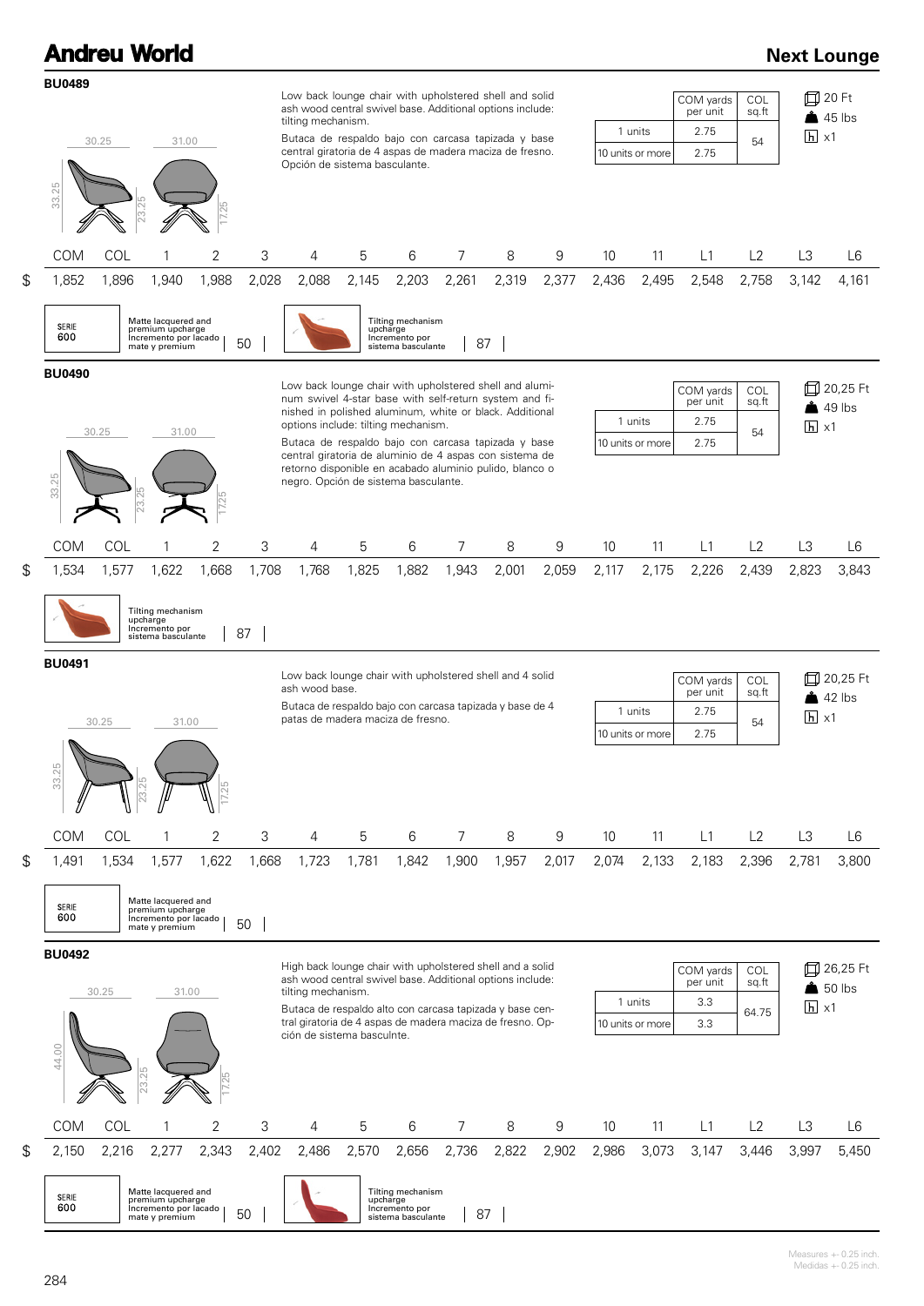|                                                                                                                                                                                                                                                                                                                                                                                                                                                                                                                     |              | <b>Andreu World</b>                                                                         |                       |             |                                                                                                                                                                                                                                                                                                     |            |                                                                                |                |            |            |                                             |                                                                                            |                                       |                              |                                    | <b>Next Lounge</b>                 |  |
|---------------------------------------------------------------------------------------------------------------------------------------------------------------------------------------------------------------------------------------------------------------------------------------------------------------------------------------------------------------------------------------------------------------------------------------------------------------------------------------------------------------------|--------------|---------------------------------------------------------------------------------------------|-----------------------|-------------|-----------------------------------------------------------------------------------------------------------------------------------------------------------------------------------------------------------------------------------------------------------------------------------------------------|------------|--------------------------------------------------------------------------------|----------------|------------|------------|---------------------------------------------|--------------------------------------------------------------------------------------------|---------------------------------------|------------------------------|------------------------------------|------------------------------------|--|
| <b>BU0489</b><br>30.25<br>31.00<br>33.25                                                                                                                                                                                                                                                                                                                                                                                                                                                                            |              |                                                                                             |                       |             | Low back lounge chair with upholstered shell and solid<br>ash wood central swivel base. Additional options include:<br>tilting mechanism.<br>Butaca de respaldo bajo con carcasa tapizada y base<br>central giratoria de 4 aspas de madera maciza de fresno.<br>Opción de sistema basculante.       |            |                                                                                |                |            |            |                                             | COM yards<br>COL<br>sq.ft<br>per unit<br>1 units<br>2.75<br>54<br>2.75<br>10 units or more |                                       |                              |                                    |                                    |  |
| \$<br><b>COM</b><br>1,852                                                                                                                                                                                                                                                                                                                                                                                                                                                                                           | COL<br>1,896 | 23.<br>1,940                                                                                | 2<br>1,988            | 3<br>2,028  | 4<br>2,088                                                                                                                                                                                                                                                                                          | 5<br>2,145 | 6<br>2,203                                                                     | 7<br>2,261     | 8<br>2,319 | 9<br>2,377 | 10<br>2,436                                 | 11<br>2,495                                                                                | L1<br>2,548                           | L2<br>2,758                  | L3<br>3,142                        | L <sub>6</sub><br>4,161            |  |
| SERIE<br>600                                                                                                                                                                                                                                                                                                                                                                                                                                                                                                        |              | Matte lacquered and<br>premium upcharge<br>Incremento por lacado<br>mate y premium          |                       | 50          |                                                                                                                                                                                                                                                                                                     |            | Tilting mechanism<br>upcharge<br>Incremento por<br>sistema basculante          |                | 87         |            |                                             |                                                                                            |                                       |                              |                                    |                                    |  |
| <b>BU0490</b><br>Low back lounge chair with upholstered shell and alumi-<br>num swivel 4-star base with self-return system and fi-<br>nished in polished aluminum, white or black. Additional<br>1 units<br>options include: tilting mechanism.<br>30.25<br>31.00<br>Butaca de respaldo bajo con carcasa tapizada y base<br>10 units or more<br>central giratoria de aluminio de 4 aspas con sistema de<br>retorno disponible en acabado aluminio pulido, blanco o<br>33.25<br>negro. Opción de sistema basculante. |              |                                                                                             |                       |             |                                                                                                                                                                                                                                                                                                     |            |                                                                                |                |            |            |                                             |                                                                                            | COM yards<br>per unit<br>2.75<br>2.75 | COL<br>sq.ft<br>54           | $\boxed{h} \times 1$               | 口 20,25 Ft<br>$\triangle$ 49 lbs   |  |
| \$<br><b>COM</b><br>1,534                                                                                                                                                                                                                                                                                                                                                                                                                                                                                           | COL<br>1,577 | 1,622                                                                                       | $\mathbf{2}$<br>1,668 | 3<br>1,708  | 4<br>1,768                                                                                                                                                                                                                                                                                          | 5<br>1,825 | 6<br>1,882                                                                     | 7<br>1,943     | 8<br>2,001 | 9<br>2,059 | 10<br>2,117                                 | 11<br>2,175                                                                                | L1<br>2,226                           | L2<br>2,439                  | L3<br>2,823                        | L6<br>3,843                        |  |
| <b>BU0491</b>                                                                                                                                                                                                                                                                                                                                                                                                                                                                                                       |              | Tilting mechanism<br>upcharge<br>Incremento por<br>sistema basculante                       |                       | 87          | Low back lounge chair with upholstered shell and 4 solid<br>ash wood base.                                                                                                                                                                                                                          |            |                                                                                |                |            |            |                                             |                                                                                            | COM yards<br>per unit                 | COL<br>sq.ft                 |                                    | 口 20,25 Ft                         |  |
| 33.25                                                                                                                                                                                                                                                                                                                                                                                                                                                                                                               | 30.25        | 31.00                                                                                       |                       |             | Butaca de respaldo bajo con carcasa tapizada y base de 4<br>patas de madera maciza de fresno.                                                                                                                                                                                                       |            |                                                                                |                |            |            | 1 units<br>2.75<br>2.75<br>10 units or more |                                                                                            |                                       | 54                           | $\triangle$ 42 lbs<br>$h \times 1$ |                                    |  |
| <b>COM</b>                                                                                                                                                                                                                                                                                                                                                                                                                                                                                                          | COL          | 1                                                                                           | 2                     | 3           | 4                                                                                                                                                                                                                                                                                                   | 5          | 6                                                                              | 7              | 8          | 9          | 10                                          | 11                                                                                         | L1                                    | L2                           | L <sub>3</sub>                     | L6                                 |  |
| \$<br>1,491<br><b>SERIE</b><br>600                                                                                                                                                                                                                                                                                                                                                                                                                                                                                  | 1,534        | 1,577<br>Matte lacquered and<br>premium upcharge<br>Incremento por lacado<br>mate y premium | 1,622                 | 1,668<br>50 | 1,723                                                                                                                                                                                                                                                                                               | 1,781      | 1,842                                                                          | 1,900          | 1,957      | 2,017      | 2,074                                       | 2,133                                                                                      | 2,183                                 | 2,396                        | 2,781                              | 3,800                              |  |
| <b>BU0492</b><br>44.00                                                                                                                                                                                                                                                                                                                                                                                                                                                                                              | 30.25        | 31.00<br>23.25                                                                              |                       |             | High back lounge chair with upholstered shell and a solid<br>ash wood central swivel base. Additional options include:<br>tilting mechanism.<br>Butaca de respaldo alto con carcasa tapizada y base cen-<br>tral giratoria de 4 aspas de madera maciza de fresno. Op-<br>ción de sistema basculnte. |            |                                                                                |                |            |            |                                             | 1 units<br>10 units or more                                                                | COM yards<br>per unit<br>3.3<br>3.3   | <b>COL</b><br>sq.ft<br>64.75 | $\overline{h}$ x1                  | 口 26,25 Ft<br>$\frac{1}{2}$ 50 lbs |  |
| <b>COM</b>                                                                                                                                                                                                                                                                                                                                                                                                                                                                                                          | COL          | 1                                                                                           | $\overline{2}$        | 3           | 4                                                                                                                                                                                                                                                                                                   | 5          | 6                                                                              | $\overline{7}$ | 8          | 9          | 10                                          | 11                                                                                         | L1                                    | L2                           | L3                                 | L <sub>6</sub>                     |  |
| \$<br>2,150<br>SERIE<br>600                                                                                                                                                                                                                                                                                                                                                                                                                                                                                         | 2,216        | 2,277<br>Matte lacquered and<br>premium upcharge<br>Incremento por lacado<br>mate y premium | 2,343                 | 2,402<br>50 | 2,486                                                                                                                                                                                                                                                                                               | 2,570      | 2,656<br>Tilting mechanism<br>upcharge<br>Incremento por<br>sistema basculante | 2,736<br>87    | 2,822      | 2,902      | 2,986                                       | 3,073                                                                                      | 3,147                                 | 3,446                        | 3,997                              | 5,450                              |  |